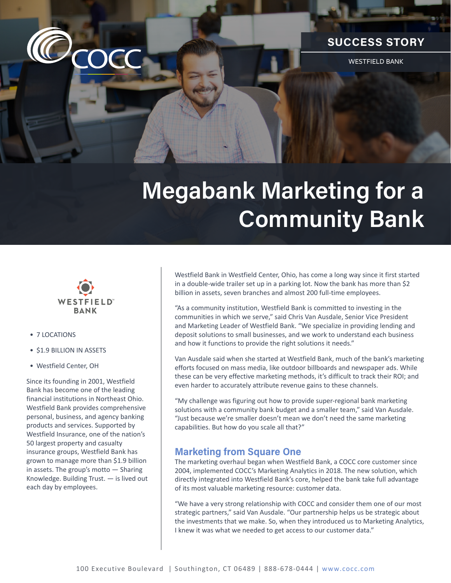

## **SUCCESS STORY**

WESTFIELD BANK

# **Megabank Marketing for a Community Bank**



- 7 LOCATIONS
- \$1.9 BILLION IN ASSETS
- Westfield Center, OH

Since its founding in 2001, Westfield Bank has become one of the leading financial institutions in Northeast Ohio. Westfield Bank provides comprehensive personal, business, and agency banking products and services. Supported by Westfield Insurance, one of the nation's 50 largest property and casualty insurance groups, Westfield Bank has grown to manage more than \$1.9 billion in assets. The group's motto — Sharing Knowledge. Building Trust. — is lived out each day by employees.

Westfield Bank in Westfield Center, Ohio, has come a long way since it first started in a double-wide trailer set up in a parking lot. Now the bank has more than \$2 billion in assets, seven branches and almost 200 full-time employees.

"As a community institution, Westfield Bank is committed to investing in the communities in which we serve," said Chris Van Ausdale, Senior Vice President and Marketing Leader of Westfield Bank. "We specialize in providing lending and deposit solutions to small businesses, and we work to understand each business and how it functions to provide the right solutions it needs."

Van Ausdale said when she started at Westfield Bank, much of the bank's marketing efforts focused on mass media, like outdoor billboards and newspaper ads. While these can be very effective marketing methods, it's difficult to track their ROI; and even harder to accurately attribute revenue gains to these channels.

"My challenge was figuring out how to provide super-regional bank marketing solutions with a community bank budget and a smaller team," said Van Ausdale. "Just because we're smaller doesn't mean we don't need the same marketing capabilities. But how do you scale all that?"

#### **Marketing from Square One**

The marketing overhaul began when Westfield Bank, a COCC core customer since 2004, implemented COCC's Marketing Analytics in 2018. The new solution, which directly integrated into Westfield Bank's core, helped the bank take full advantage of its most valuable marketing resource: customer data.

"We have a very strong relationship with COCC and consider them one of our most strategic partners," said Van Ausdale. "Our partnership helps us be strategic about the investments that we make. So, when they introduced us to Marketing Analytics, I knew it was what we needed to get access to our customer data."